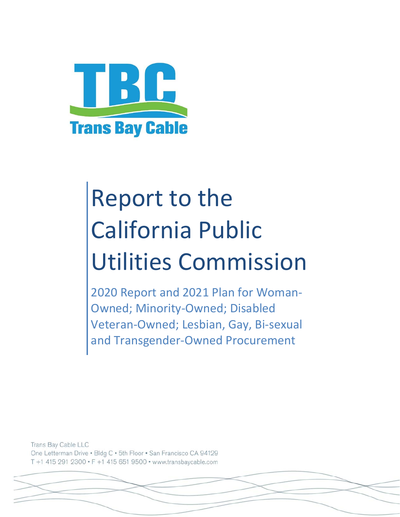

# Report to the California Public Utilities Commission

2020 Report and 2021 Plan for Woman‐ Owned; Minority‐Owned; Disabled Veteran‐Owned; Lesbian, Gay, Bi‐sexual and Transgender‐Owned Procurement

Trans Bay Cable LLC One Letterman Drive . Bldg C . 5th Floor . San Francisco CA 94129 T +1 415 291 2300 · F +1 415 651 9500 · www.transbaycable.com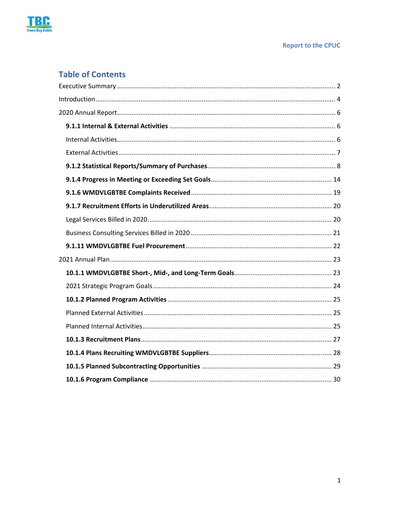

#### **Report to the CPUC**

### **Table of Contents**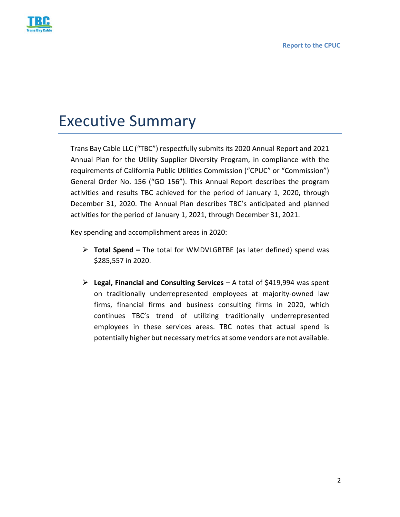

## Executive Summary

Trans Bay Cable LLC ("TBC") respectfully submits its 2020 Annual Report and 2021 Annual Plan for the Utility Supplier Diversity Program, in compliance with the requirements of California Public Utilities Commission ("CPUC" or "Commission") General Order No. 156 ("GO 156"). This Annual Report describes the program activities and results TBC achieved for the period of January 1, 2020, through December 31, 2020. The Annual Plan describes TBC's anticipated and planned activities for the period of January 1, 2021, through December 31, 2021.

Key spending and accomplishment areas in 2020:

- **Total Spend** The total for WMDVLGBTBE (as later defined) spend was \$285,557 in 2020.
- **Legal, Financial and Consulting Services** A total of \$419,994 was spent on traditionally underrepresented employees at majority‐owned law firms, financial firms and business consulting firms in 2020, which continues TBC's trend of utilizing traditionally underrepresented employees in these services areas. TBC notes that actual spend is potentially higher but necessary metrics at some vendors are not available.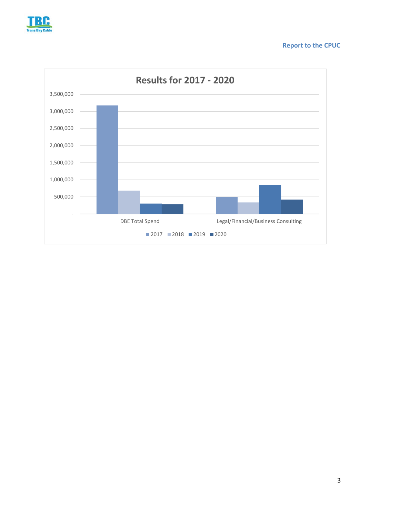

#### **Report to the CPUC**

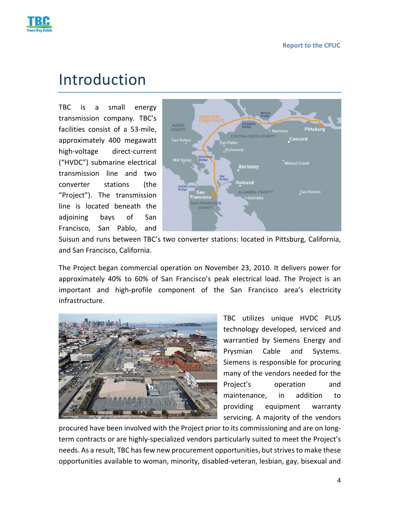

### Introduction

TBC is a small energy transmission company. TBC's facilities consist of a 53-mile, approximately 400 megawatt high‐voltage direct‐current ("HVDC") submarine electrical transmission line and two converter stations (the "Project"). The transmission line is located beneath the adjoining bays of San Francisco, San Pablo, and



Suisun and runs between TBC's two converter stations: located in Pittsburg, California, and San Francisco, California.

The Project began commercial operation on November 23, 2010. It delivers power for approximately 40% to 60% of San Francisco's peak electrical load. The Project is an important and high‐profile component of the San Francisco area's electricity infrastructure.



TBC utilizes unique HVDC PLUS technology developed, serviced and warrantied by Siemens Energy and Prysmian Cable and Systems. Siemens is responsible for procuring many of the vendors needed for the Project's operation and maintenance, in addition to providing equipment warranty servicing. A majority of the vendors

procured have been involved with the Project prior to its commissioning and are on long‐ term contracts or are highly‐specialized vendors particularly suited to meet the Project's needs. As a result, TBC has few new procurement opportunities, but strives to make these opportunities available to woman, minority, disabled‐veteran, lesbian, gay, bisexual and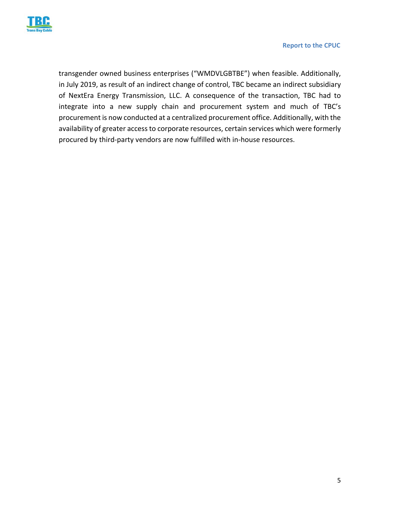

transgender owned business enterprises ("WMDVLGBTBE") when feasible. Additionally, in July 2019, as result of an indirect change of control, TBC became an indirect subsidiary of NextEra Energy Transmission, LLC. A consequence of the transaction, TBC had to integrate into a new supply chain and procurement system and much of TBC's procurement is now conducted at a centralized procurement office. Additionally, with the availability of greater access to corporate resources, certain services which were formerly procured by third‐party vendors are now fulfilled with in‐house resources.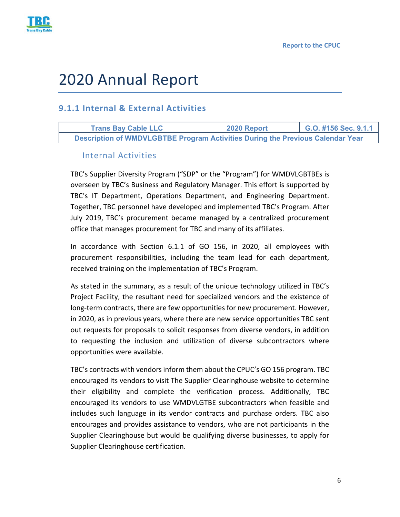



# 2020 Annual Report

#### **9.1.1 Internal & External Activities**

**Trans Bay Cable LLC 2020 Report G.O. #156 Sec. 9.1.1 Description of WMDVLGBTBE Program Activities During the Previous Calendar Year** 

#### Internal Activities

TBC's Supplier Diversity Program ("SDP" or the "Program") for WMDVLGBTBEs is overseen by TBC's Business and Regulatory Manager. This effort is supported by TBC's IT Department, Operations Department, and Engineering Department. Together, TBC personnel have developed and implemented TBC's Program. After July 2019, TBC's procurement became managed by a centralized procurement office that manages procurement for TBC and many of its affiliates.

In accordance with Section 6.1.1 of GO 156, in 2020, all employees with procurement responsibilities, including the team lead for each department, received training on the implementation of TBC's Program.

As stated in the summary, as a result of the unique technology utilized in TBC's Project Facility, the resultant need for specialized vendors and the existence of long-term contracts, there are few opportunities for new procurement. However, in 2020, as in previous years, where there are new service opportunities TBC sent out requests for proposals to solicit responses from diverse vendors, in addition to requesting the inclusion and utilization of diverse subcontractors where opportunities were available.

TBC's contracts with vendors inform them about the CPUC's GO 156 program. TBC encouraged its vendors to visit The Supplier Clearinghouse website to determine their eligibility and complete the verification process. Additionally, TBC encouraged its vendors to use WMDVLGTBE subcontractors when feasible and includes such language in its vendor contracts and purchase orders. TBC also encourages and provides assistance to vendors, who are not participants in the Supplier Clearinghouse but would be qualifying diverse businesses, to apply for Supplier Clearinghouse certification.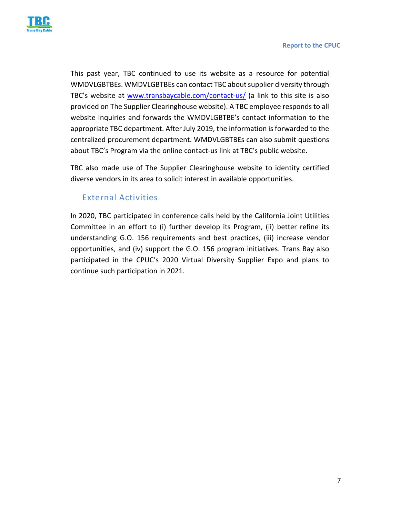

This past year, TBC continued to use its website as a resource for potential WMDVLGBTBEs. WMDVLGBTBEs can contact TBC about supplier diversity through TBC's website at www.transbaycable.com/contact‐us/ (a link to this site is also provided on The Supplier Clearinghouse website). A TBC employee responds to all website inquiries and forwards the WMDVLGBTBE's contact information to the appropriate TBC department. After July 2019, the information is forwarded to the centralized procurement department. WMDVLGBTBEs can also submit questions about TBC's Program via the online contact‐us link at TBC's public website.

TBC also made use of The Supplier Clearinghouse website to identity certified diverse vendors in its area to solicit interest in available opportunities.

#### External Activities

In 2020, TBC participated in conference calls held by the California Joint Utilities Committee in an effort to (i) further develop its Program, (ii) better refine its understanding G.O. 156 requirements and best practices, (iii) increase vendor opportunities, and (iv) support the G.O. 156 program initiatives. Trans Bay also participated in the CPUC's 2020 Virtual Diversity Supplier Expo and plans to continue such participation in 2021.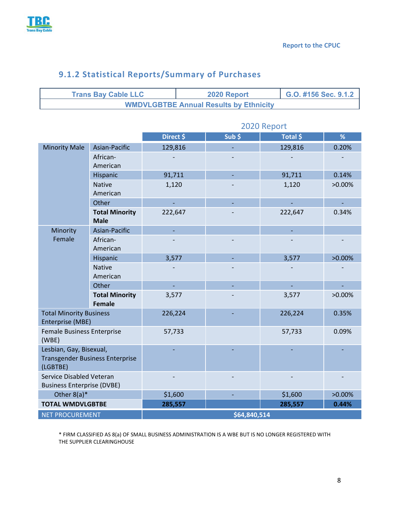

Г

|                                                       | <b>Trans Bay Cable LLC</b>             |             | 2020 Report<br>G.O. #156 Sec. 9.1.2 |                                               |         |          |           |  |  |  |
|-------------------------------------------------------|----------------------------------------|-------------|-------------------------------------|-----------------------------------------------|---------|----------|-----------|--|--|--|
|                                                       |                                        |             |                                     | <b>WMDVLGBTBE Annual Results by Ethnicity</b> |         |          |           |  |  |  |
|                                                       |                                        |             |                                     |                                               |         |          |           |  |  |  |
|                                                       |                                        | 2020 Report |                                     |                                               |         |          |           |  |  |  |
|                                                       |                                        | Direct \$   |                                     | Sub <sub>5</sub>                              |         | Total \$ | %         |  |  |  |
| <b>Minority Male</b>                                  | Asian-Pacific                          | 129,816     |                                     |                                               |         | 129,816  | 0.20%     |  |  |  |
|                                                       | African-                               |             |                                     |                                               |         |          |           |  |  |  |
|                                                       | American                               |             |                                     |                                               |         |          |           |  |  |  |
|                                                       | Hispanic                               | 91,711      |                                     |                                               |         | 91,711   | 0.14%     |  |  |  |
|                                                       | <b>Native</b><br>American              | 1,120       |                                     |                                               |         | 1,120    | $>0.00\%$ |  |  |  |
|                                                       | Other                                  | L,          |                                     |                                               |         | L,       | L,        |  |  |  |
|                                                       | <b>Total Minority</b>                  | 222,647     |                                     |                                               |         | 222,647  | 0.34%     |  |  |  |
| Minority                                              | <b>Male</b><br>Asian-Pacific           |             |                                     |                                               |         |          |           |  |  |  |
| Female                                                | African-                               |             |                                     |                                               |         |          |           |  |  |  |
|                                                       | American                               |             |                                     |                                               |         |          |           |  |  |  |
|                                                       | Hispanic                               | 3,577       |                                     |                                               |         | 3,577    | $>0.00\%$ |  |  |  |
|                                                       | <b>Native</b>                          |             |                                     |                                               |         |          |           |  |  |  |
|                                                       | American                               |             |                                     |                                               |         |          |           |  |  |  |
|                                                       | Other                                  | ÷,          |                                     |                                               | L,      |          |           |  |  |  |
|                                                       | <b>Total Minority</b><br><b>Female</b> | 3,577       |                                     |                                               |         | 3,577    | $>0.00\%$ |  |  |  |
| <b>Total Minority Business</b>                        |                                        | 226,224     |                                     |                                               |         | 226,224  | 0.35%     |  |  |  |
| Enterprise (MBE)<br><b>Female Business Enterprise</b> |                                        | 57,733      |                                     |                                               |         | 57,733   | 0.09%     |  |  |  |
| (WBE)                                                 |                                        |             |                                     |                                               |         |          |           |  |  |  |
| Lesbian, Gay, Bisexual,                               |                                        |             |                                     |                                               |         |          |           |  |  |  |
| <b>Transgender Business Enterprise</b>                |                                        |             |                                     |                                               |         |          |           |  |  |  |
| (LGBTBE)<br>Service Disabled Veteran                  |                                        |             |                                     |                                               |         |          |           |  |  |  |
| <b>Business Enterprise (DVBE)</b>                     |                                        |             |                                     |                                               |         |          |           |  |  |  |
| Other $8(a)^*$                                        |                                        | \$1,600     |                                     |                                               | \$1,600 |          | >0.00%    |  |  |  |
| <b>TOTAL WMDVLGBTBE</b>                               |                                        | 285,557     |                                     |                                               |         | 285,557  | 0.44%     |  |  |  |
| <b>NET PROCUREMENT</b><br>\$64,840,514                |                                        |             |                                     |                                               |         |          |           |  |  |  |

### **9.1.2 Statistical Reports/Summary of Purchases**

\* FIRM CLASSIFIED AS 8(a) OF SMALL BUSINESS ADMINISTRATION IS A WBE BUT IS NO LONGER REGISTERED WITH THE SUPPLIER CLEARINGHOUSE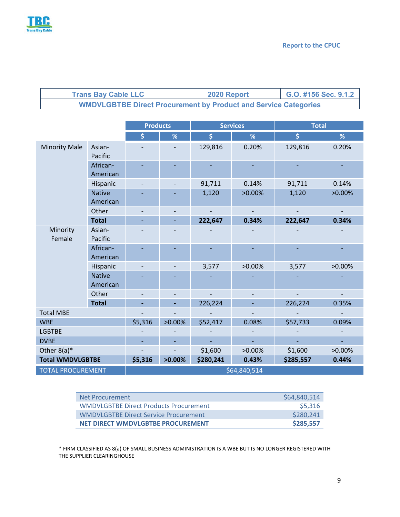

| <b>Trans Bay Cable LLC</b> | 2020 Report                                                            | G.O. #156 Sec. 9.1.2 |
|----------------------------|------------------------------------------------------------------------|----------------------|
|                            | <b>WMDVLGBTBE Direct Procurement by Product and Service Categories</b> |                      |

|                          | <b>Products</b>           |              |           | <b>Services</b> | <b>Total</b> |           |           |  |  |  |
|--------------------------|---------------------------|--------------|-----------|-----------------|--------------|-----------|-----------|--|--|--|
|                          |                           | \$           | %         | \$              | %            | \$        | %         |  |  |  |
| <b>Minority Male</b>     | Asian-<br>Pacific         |              |           | 129,816         | 0.20%        | 129,816   | 0.20%     |  |  |  |
|                          | African-<br>American      |              |           |                 |              |           |           |  |  |  |
|                          | Hispanic                  |              |           | 91,711          | 0.14%        | 91,711    | 0.14%     |  |  |  |
|                          | <b>Native</b><br>American |              |           | 1,120           | $>0.00\%$    | 1,120     | $>0.00\%$ |  |  |  |
|                          | Other                     |              |           |                 |              |           |           |  |  |  |
|                          | <b>Total</b>              |              | ÷,        | 222,647         | 0.34%        | 222,647   | 0.34%     |  |  |  |
| Minority<br>Female       | Asian-<br>Pacific         |              |           |                 |              |           |           |  |  |  |
|                          | African-<br>American      |              |           |                 |              |           |           |  |  |  |
|                          | Hispanic                  |              |           | 3,577           | $>0.00\%$    | 3,577     | $>0.00\%$ |  |  |  |
|                          | <b>Native</b><br>American |              |           |                 |              |           |           |  |  |  |
|                          | Other                     |              |           |                 |              |           |           |  |  |  |
|                          | <b>Total</b>              |              |           | 226,224         |              | 226,224   | 0.35%     |  |  |  |
| <b>Total MBE</b>         |                           |              |           |                 |              |           |           |  |  |  |
| <b>WBE</b>               |                           | \$5,316      | $>0.00\%$ | \$52,417        | 0.08%        | \$57,733  | 0.09%     |  |  |  |
| <b>LGBTBE</b>            |                           |              |           |                 |              |           |           |  |  |  |
| <b>DVBE</b>              |                           |              |           |                 |              |           |           |  |  |  |
| Other $8(a)^*$           |                           |              |           | \$1,600         | $>0.00\%$    | \$1,600   | $>0.00\%$ |  |  |  |
| <b>Total WMDVLGBTBE</b>  |                           | \$5,316      | $>0.00\%$ | \$280,241       | 0.43%        | \$285,557 | 0.44%     |  |  |  |
| <b>TOTAL PROCUREMENT</b> |                           | \$64,840,514 |           |                 |              |           |           |  |  |  |

| Net Procurement                               | \$64,840,514 |
|-----------------------------------------------|--------------|
| <b>WMDVLGBTBE Direct Products Procurement</b> | \$5,316      |
| WMDVLGBTBE Direct Service Procurement         | \$280,241    |
| NET DIRECT WMDVLGBTBE PROCUREMENT             | \$285,557    |

\* FIRM CLASSIFIED AS 8(a) OF SMALL BUSINESS ADMINISTRATION IS A WBE BUT IS NO LONGER REGISTERED WITH THE SUPPLIER CLEARINGHOUSE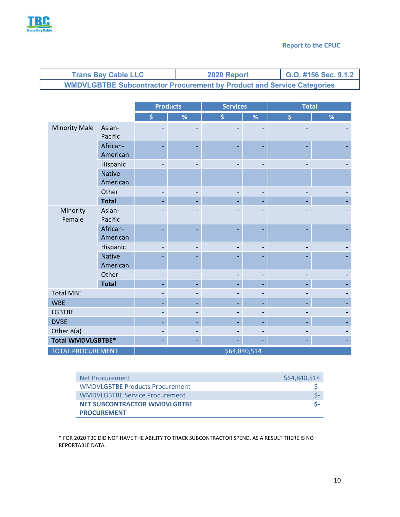

| <b>Trans Bay Cable LLC</b>                                                    | 2020 Report | G.O. #156 Sec. 9.1.2 |
|-------------------------------------------------------------------------------|-------------|----------------------|
| <b>WMDVLGBTBE Subcontractor Procurement by Product and Service Categories</b> |             |                      |

|                          |                           | <b>Products</b>          | <b>Services</b> |    | <b>Total</b> |    |   |
|--------------------------|---------------------------|--------------------------|-----------------|----|--------------|----|---|
|                          |                           | \$                       | %               | \$ | $\%$         | \$ | % |
| <b>Minority Male</b>     | Asian-<br>Pacific         |                          |                 |    |              |    |   |
|                          | African-<br>American      | $\overline{\phantom{0}}$ |                 |    |              |    |   |
|                          | Hispanic                  |                          |                 |    |              |    |   |
|                          | <b>Native</b><br>American |                          |                 |    |              |    |   |
|                          | Other                     | $\overline{\phantom{0}}$ |                 |    |              |    |   |
|                          | <b>Total</b>              |                          |                 |    |              |    |   |
| Minority<br>Female       | Asian-<br>Pacific         |                          |                 |    |              |    |   |
|                          | African-<br>American      |                          |                 |    |              |    |   |
|                          | Hispanic                  |                          |                 |    |              |    |   |
|                          | <b>Native</b><br>American |                          |                 |    |              |    |   |
|                          | Other                     | $\overline{\phantom{0}}$ |                 |    |              |    |   |
|                          | <b>Total</b>              | -                        |                 |    |              |    |   |
| <b>Total MBE</b>         |                           |                          |                 |    |              |    |   |
| <b>WBE</b>               |                           |                          |                 |    |              |    |   |
| <b>LGBTBE</b>            |                           |                          |                 |    |              |    |   |
| <b>DVBE</b>              |                           |                          |                 |    |              |    |   |
| Other 8(a)               |                           |                          |                 |    |              |    |   |
| <b>Total WMDVLGBTBE*</b> |                           |                          |                 |    |              |    |   |
| <b>TOTAL PROCUREMENT</b> |                           |                          |                 |    | \$64,840,514 |    |   |

| Net Procurement                        | \$64,840,514 |
|----------------------------------------|--------------|
| <b>WMDVLGBTBE Products Procurement</b> |              |
| <b>WMDVLGBTBE Service Procurement</b>  |              |
| <b>NET SUBCONTRACTOR WMDVLGBTBE</b>    |              |
| <b>PROCUREMENT</b>                     |              |

\* FOR 2020 TBC DID NOT HAVE THE ABILITY TO TRACK SUBCONTRACTOR SPEND, AS A RESULT THERE IS NO REPORTABLE DATA.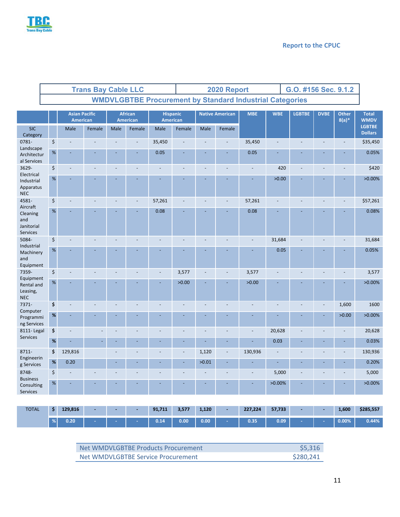

|                                                   | <b>Trans Bay Cable LLC</b> |                                  |        |      |                                   |                             |                                                                 | 2020 Report              |        |                |                |                | G.O. #156 Sec. 9.1.2 |                         |                                 |
|---------------------------------------------------|----------------------------|----------------------------------|--------|------|-----------------------------------|-----------------------------|-----------------------------------------------------------------|--------------------------|--------|----------------|----------------|----------------|----------------------|-------------------------|---------------------------------|
|                                                   |                            |                                  |        |      |                                   |                             | <b>WMDVLGBTBE Procurement by Standard Industrial Categories</b> |                          |        |                |                |                |                      |                         |                                 |
|                                                   |                            | <b>Asian Pacific</b><br>American |        |      | <b>African</b><br><b>American</b> | <b>Hispanic</b><br>American |                                                                 | <b>Native American</b>   |        | <b>MBE</b>     |                | <b>LGBTBE</b>  | <b>DVBE</b>          | <b>Other</b><br>$8(a)*$ | <b>Total</b><br><b>WMDV</b>     |
| <b>SIC</b><br>Category                            |                            | Male                             | Female | Male | Female                            | Male                        | Female                                                          | Male                     | Female |                |                |                |                      |                         | <b>LGBTBE</b><br><b>Dollars</b> |
| 0781-<br>Landscape                                | \$                         |                                  |        |      |                                   | 35,450                      |                                                                 |                          |        | 35,450         |                |                |                      |                         | \$35,450                        |
| Architectur<br>al Services                        | $\%$                       |                                  |        |      |                                   | 0.05                        |                                                                 |                          |        | 0.05           |                |                |                      |                         | 0.05%                           |
| 3629-<br>Electrical                               | \$                         |                                  |        |      |                                   |                             |                                                                 |                          |        |                | 420            |                |                      |                         | \$420                           |
| Industrial<br>Apparatus<br><b>NEC</b>             | $\%$                       |                                  |        |      |                                   |                             |                                                                 |                          |        |                | >0.00          |                |                      |                         | $>0.00\%$                       |
| 4581-<br>Aircraft                                 | \$                         |                                  |        |      | $\blacksquare$                    | 57,261                      |                                                                 |                          |        | 57,261         |                |                |                      |                         | \$57,261                        |
| Cleaning<br>and<br>Janitorial<br>Services         | $\%$                       |                                  |        |      |                                   | 0.08                        |                                                                 |                          |        | 0.08           |                |                |                      |                         | 0.08%                           |
| 5084-<br>Industrial                               | \$                         |                                  |        |      |                                   |                             |                                                                 |                          |        |                | 31,684         |                |                      |                         | 31,684                          |
| Machinery<br>and<br>Equipment                     | $\%$                       |                                  |        |      |                                   |                             |                                                                 |                          |        |                | 0.05           |                |                      |                         | 0.05%                           |
| 7359-                                             | \$                         |                                  |        |      | $\overline{a}$                    |                             | 3,577                                                           | $\overline{\phantom{a}}$ |        | 3,577          | $\overline{a}$ |                |                      |                         | 3,577                           |
| Equipment<br>Rental and<br>Leasing,<br><b>NEC</b> | $\%$                       |                                  |        |      |                                   |                             | >0.00                                                           |                          |        | >0.00          |                |                |                      |                         | $>0.00\%$                       |
| 7371-<br>Computer                                 | \$                         | ÷,                               |        |      |                                   |                             |                                                                 | ÷,                       |        | $\overline{a}$ | $\overline{a}$ | $\overline{a}$ | $\overline{a}$       | 1,600                   | 1600                            |
| Programmi<br>ng Services                          | $\%$                       |                                  |        |      |                                   |                             |                                                                 |                          |        |                |                |                |                      | >0.00                   | $>0.00\%$                       |
| 8111-Legal<br>Services                            | \$                         | ÷,                               |        |      |                                   |                             |                                                                 |                          |        |                | 20,628         |                |                      |                         | 20,628                          |
|                                                   | $\%$                       |                                  |        |      |                                   |                             |                                                                 |                          |        |                | 0.03           |                |                      |                         | 0.03%                           |
| 8711-<br>Engineerin                               | \$                         | 129,816                          |        |      |                                   |                             | $\overline{a}$                                                  | 1,120                    |        | 130,936        |                |                |                      |                         | 130,936                         |
| g Services                                        | $\%$                       | 0.20                             |        |      |                                   |                             |                                                                 | >0.01                    |        |                | L,             |                |                      |                         | 0.20%                           |
| 8748-<br><b>Business</b>                          | \$                         |                                  |        |      |                                   |                             |                                                                 |                          |        |                | 5,000          |                |                      |                         | 5,000                           |
| Consulting<br><b>Services</b>                     | $\%$                       |                                  |        |      |                                   |                             |                                                                 |                          |        |                | $>0.00\%$      |                |                      |                         | $>0.00\%$                       |

| <b>TOTAL</b> | 129,816 | <b>Contractor</b> | <b>Contract Contract</b> | 1 = 1 | 91,711 | 3,577 | 1,120 | 227,224 | 57,733 | <b>Contract</b> | 1,600    | \$285,557 |
|--------------|---------|-------------------|--------------------------|-------|--------|-------|-------|---------|--------|-----------------|----------|-----------|
|              | 0.20    |                   |                          |       | 0.14   | 0.00  | 0.00  | 0.35    | 0.09   | <b>START OF</b> | $0.00\%$ | 0.44%     |

| Net WMDVLGBTBE Products Procurement | \$5.316   |
|-------------------------------------|-----------|
| Net WMDVLGBTBE Service Procurement  | \$280,241 |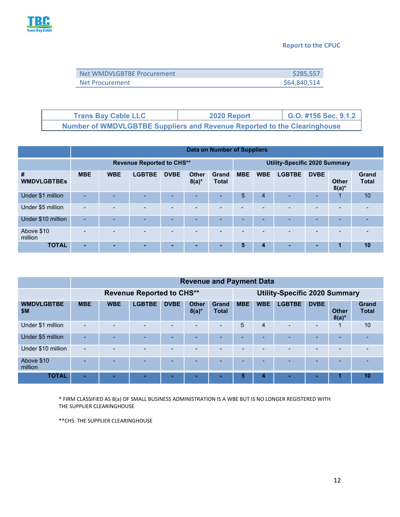

#### **Report to the CPUC**

| Net WMDVLGBTBE Procurement | \$285,557    |
|----------------------------|--------------|
| Net Procurement            | \$64,840,514 |

| <b>Trans Bay Cable LLC</b>                                                      | 2020 Report | G.O. #156 Sec. 9.1.2 |
|---------------------------------------------------------------------------------|-------------|----------------------|
| <b>Number of WMDVLGBTBE Suppliers and Revenue Reported to the Clearinghouse</b> |             |                      |

|                         | <b>Data on Number of Suppliers</b> |            |               |             |                          |                       |            |                                      |               |             |                          |                       |
|-------------------------|------------------------------------|------------|---------------|-------------|--------------------------|-----------------------|------------|--------------------------------------|---------------|-------------|--------------------------|-----------------------|
|                         | <b>Revenue Reported to CHS**</b>   |            |               |             |                          |                       |            | <b>Utility-Specific 2020 Summary</b> |               |             |                          |                       |
| #<br><b>WMDVLGBTBEs</b> | <b>MBE</b>                         | <b>WBE</b> | <b>LGBTBE</b> | <b>DVBE</b> | <b>Other</b><br>$8(a)^*$ | Grand<br><b>Total</b> | <b>MBE</b> | <b>WBE</b>                           | <b>LGBTBE</b> | <b>DVBE</b> | <b>Other</b><br>$8(a)^*$ | Grand<br><b>Total</b> |
| Under \$1 million       | ۰.                                 | -          |               |             | -                        | ۰.                    | 5          | $\overline{4}$                       |               | -           | $\blacktriangleleft$     | 10                    |
| Under \$5 million       | $\overline{\phantom{0}}$           |            |               |             | $\overline{\phantom{a}}$ | <b>1</b>              |            | $\overline{\phantom{a}}$             |               | -           |                          |                       |
| Under \$10 million      | $\overline{\phantom{a}}$           | -          | -             | -           | $\overline{\phantom{a}}$ | ۰.                    | -          | -                                    | -             | -           | -                        |                       |
| Above \$10<br>million   |                                    |            |               |             |                          | ۰                     | -          | -                                    |               | -           |                          |                       |
| <b>TOTAL</b>            | -                                  | -          | -             | н           |                          | -                     | 5          | 4                                    | -             | -           | 1                        | 10                    |

|                          | <b>Revenue and Payment Data</b>  |            |               |             |                          |                              |                                      |                |               |                          |                          |                              |
|--------------------------|----------------------------------|------------|---------------|-------------|--------------------------|------------------------------|--------------------------------------|----------------|---------------|--------------------------|--------------------------|------------------------------|
|                          | <b>Revenue Reported to CHS**</b> |            |               |             |                          |                              | <b>Utility-Specific 2020 Summary</b> |                |               |                          |                          |                              |
| <b>WMDVLGBTBE</b><br>\$M | <b>MBE</b>                       | <b>WBE</b> | <b>LGBTBE</b> | <b>DVBE</b> | <b>Other</b><br>$8(a)^*$ | <b>Grand</b><br><b>Total</b> | <b>MBE</b>                           | <b>WBE</b>     | <b>LGBTBE</b> | <b>DVBE</b>              | <b>Other</b><br>$8(a)^*$ | <b>Grand</b><br><b>Total</b> |
| Under \$1 million        |                                  |            |               |             |                          | -                            | 5                                    | 4              |               | Ξ.                       |                          | 10                           |
| Under \$5 million        |                                  |            |               |             |                          |                              |                                      | -              |               | -                        |                          |                              |
| Under \$10 million       | $\overline{\phantom{0}}$         |            |               |             |                          |                              |                                      | $\overline{a}$ |               | $\overline{\phantom{0}}$ |                          |                              |
| Above \$10<br>million    |                                  |            | -             | -           |                          | -                            | -                                    | -              |               | -                        | -                        |                              |
| <b>TOTAL</b>             |                                  |            |               |             |                          |                              | 5                                    | 4              |               | ۰                        |                          | 10                           |

\* FIRM CLASSIFIED AS 8(a) OF SMALL BUSINESS ADMINISTRATION IS A WBE BUT IS NO LONGER REGISTERED WITH THE SUPPLIER CLEARINGHOUSE

\*\*CHS: THE SUPPLIER CLEARINGHOUSE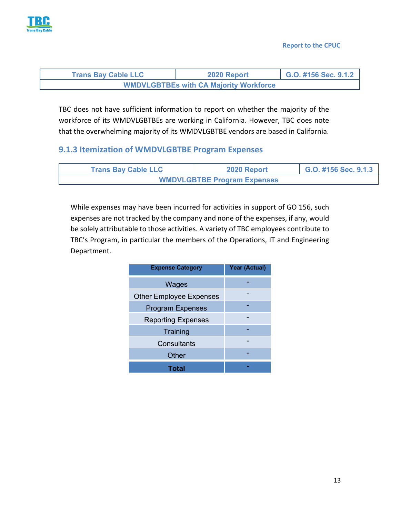

| <b>Trans Bay Cable LLC</b>                    | 2020 Report | G.O. #156 Sec. 9.1.2 |  |  |  |  |  |
|-----------------------------------------------|-------------|----------------------|--|--|--|--|--|
| <b>WMDVLGBTBEs with CA Majority Workforce</b> |             |                      |  |  |  |  |  |

TBC does not have sufficient information to report on whether the majority of the workforce of its WMDVLGBTBEs are working in California. However, TBC does note that the overwhelming majority of its WMDVLGBTBE vendors are based in California.

#### **9.1.3 Itemization of WMDVLGBTBE Program Expenses**

| <b>Trans Bay Cable LLC</b> | 2020 Report                        | G.O. #156 Sec. 9.1.3 |  |  |  |
|----------------------------|------------------------------------|----------------------|--|--|--|
|                            | <b>WMDVLGBTBE Program Expenses</b> |                      |  |  |  |

While expenses may have been incurred for activities in support of GO 156, such expenses are not tracked by the company and none of the expenses, if any, would be solely attributable to those activities. A variety of TBC employees contribute to TBC's Program, in particular the members of the Operations, IT and Engineering Department.

| <b>Expense Category</b>        | <b>Year (Actual)</b> |
|--------------------------------|----------------------|
| Wages                          |                      |
| <b>Other Employee Expenses</b> |                      |
| <b>Program Expenses</b>        |                      |
| <b>Reporting Expenses</b>      |                      |
| Training                       |                      |
| Consultants                    |                      |
| Other                          |                      |
| Total                          |                      |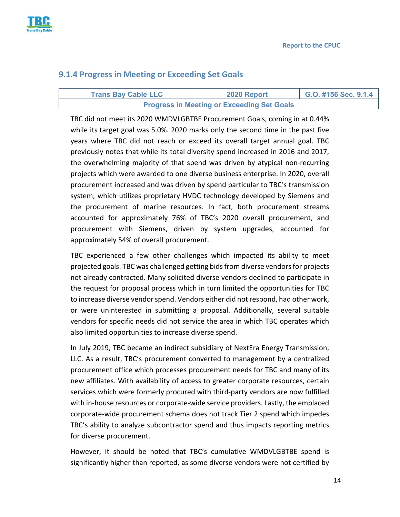

#### **9.1.4 Progress in Meeting or Exceeding Set Goals**

| <b>Trans Bay Cable LLC</b> | 2020 Report                                       | $\big $ G.O. #156 Sec. 9.1.4 |
|----------------------------|---------------------------------------------------|------------------------------|
|                            | <b>Progress in Meeting or Exceeding Set Goals</b> |                              |

TBC did not meet its 2020 WMDVLGBTBE Procurement Goals, coming in at 0.44% while its target goal was 5.0%. 2020 marks only the second time in the past five years where TBC did not reach or exceed its overall target annual goal. TBC previously notes that while its total diversity spend increased in 2016 and 2017, the overwhelming majority of that spend was driven by atypical non‐recurring projects which were awarded to one diverse business enterprise. In 2020, overall procurement increased and was driven by spend particular to TBC's transmission system, which utilizes proprietary HVDC technology developed by Siemens and the procurement of marine resources. In fact, both procurement streams accounted for approximately 76% of TBC's 2020 overall procurement, and procurement with Siemens, driven by system upgrades, accounted for approximately 54% of overall procurement.

TBC experienced a few other challenges which impacted its ability to meet projected goals. TBC was challenged getting bids from diverse vendors for projects not already contracted. Many solicited diverse vendors declined to participate in the request for proposal process which in turn limited the opportunities for TBC to increase diverse vendor spend. Vendors either did not respond, had other work, or were uninterested in submitting a proposal. Additionally, several suitable vendors for specific needs did not service the area in which TBC operates which also limited opportunities to increase diverse spend.

In July 2019, TBC became an indirect subsidiary of NextEra Energy Transmission, LLC. As a result, TBC's procurement converted to management by a centralized procurement office which processes procurement needs for TBC and many of its new affiliates. With availability of access to greater corporate resources, certain services which were formerly procured with third‐party vendors are now fulfilled with in-house resources or corporate-wide service providers. Lastly, the emplaced corporate‐wide procurement schema does not track Tier 2 spend which impedes TBC's ability to analyze subcontractor spend and thus impacts reporting metrics for diverse procurement.

However, it should be noted that TBC's cumulative WMDVLGBTBE spend is significantly higher than reported, as some diverse vendors were not certified by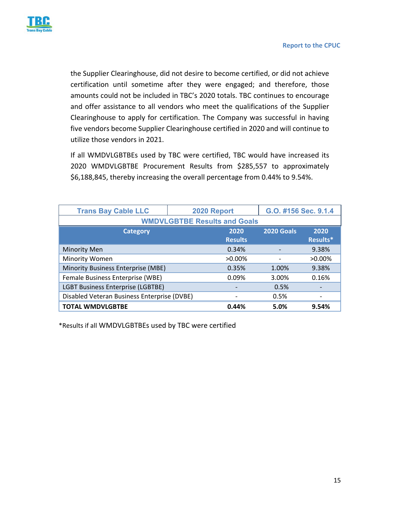

the Supplier Clearinghouse, did not desire to become certified, or did not achieve certification until sometime after they were engaged; and therefore, those amounts could not be included in TBC's 2020 totals. TBC continues to encourage and offer assistance to all vendors who meet the qualifications of the Supplier Clearinghouse to apply for certification. The Company was successful in having five vendors become Supplier Clearinghouse certified in 2020 and will continue to utilize those vendors in 2021.

If all WMDVLGBTBEs used by TBC were certified, TBC would have increased its 2020 WMDVLGBTBE Procurement Results from \$285,557 to approximately \$6,188,845, thereby increasing the overall percentage from 0.44% to 9.54%.

| <b>Trans Bay Cable LLC</b>                  | 2020 Report    | G.O. #156 Sec. 9.1.4 |           |  |  |  |  |  |  |
|---------------------------------------------|----------------|----------------------|-----------|--|--|--|--|--|--|
| <b>WMDVLGBTBE Results and Goals</b>         |                |                      |           |  |  |  |  |  |  |
| <b>Category</b>                             | 2020           | <b>2020 Goals</b>    | 2020      |  |  |  |  |  |  |
|                                             | <b>Results</b> |                      | Results*  |  |  |  |  |  |  |
| <b>Minority Men</b>                         | 0.34%          |                      | 9.38%     |  |  |  |  |  |  |
| Minority Women                              | $>0.00\%$      | $\qquad \qquad$      | $>0.00\%$ |  |  |  |  |  |  |
| Minority Business Enterprise (MBE)          | 0.35%          | 1.00%                | 9.38%     |  |  |  |  |  |  |
| Female Business Enterprise (WBE)            | 0.09%          | 3.00%                | 0.16%     |  |  |  |  |  |  |
| <b>LGBT Business Enterprise (LGBTBE)</b>    |                | 0.5%                 |           |  |  |  |  |  |  |
| Disabled Veteran Business Enterprise (DVBE) |                | 0.5%                 |           |  |  |  |  |  |  |
| <b>TOTAL WMDVLGBTBE</b>                     | 0.44%          | 5.0%                 | 9.54%     |  |  |  |  |  |  |

\*Results if all WMDVLGBTBEs used by TBC were certified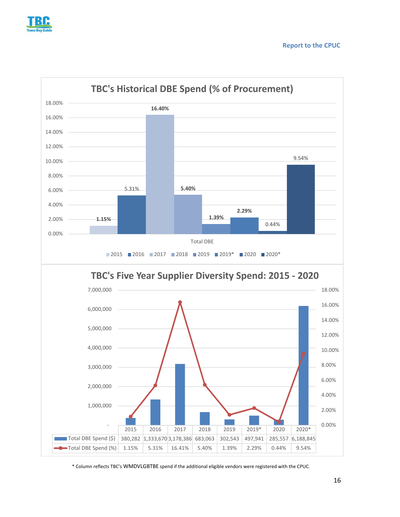



\* Column reflects TBC's WMDVLGBTBE spend if the additional eligible vendors were registered with the CPUC.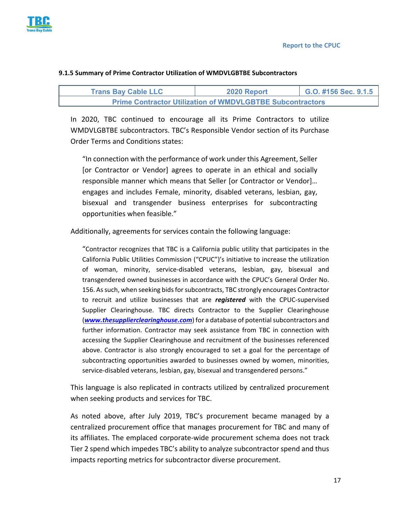**Report to the CPUC** 



| <b>Trans Bay Cable LLC</b> | 2020 Report | G.O. #156 Sec. 9.1.5 |
|----------------------------|-------------|----------------------|

# **Prime Contractor Utilization of WMDVLGBTBE Subcontractors**

**9.1.5 Summary of Prime Contractor Utilization of WMDVLGBTBE Subcontractors** 

In 2020, TBC continued to encourage all its Prime Contractors to utilize WMDVLGBTBE subcontractors. TBC's Responsible Vendor section of its Purchase Order Terms and Conditions states:

"In connection with the performance of work under this Agreement, Seller [or Contractor or Vendor] agrees to operate in an ethical and socially responsible manner which means that Seller [or Contractor or Vendor]… engages and includes Female, minority, disabled veterans, lesbian, gay, bisexual and transgender business enterprises for subcontracting opportunities when feasible."

Additionally, agreements for services contain the following language:

"Contractor recognizes that TBC is a California public utility that participates in the California Public Utilities Commission ("CPUC")'s initiative to increase the utilization of woman, minority, service‐disabled veterans, lesbian, gay, bisexual and transgendered owned businesses in accordance with the CPUC's General Order No. 156. As such, when seeking bids for subcontracts, TBC strongly encourages Contractor to recruit and utilize businesses that are *registered* with the CPUC‐supervised Supplier Clearinghouse. TBC directs Contractor to the Supplier Clearinghouse (*www.thesupplierclearinghouse.com*) for a database of potential subcontractors and further information. Contractor may seek assistance from TBC in connection with accessing the Supplier Clearinghouse and recruitment of the businesses referenced above. Contractor is also strongly encouraged to set a goal for the percentage of subcontracting opportunities awarded to businesses owned by women, minorities, service-disabled veterans, lesbian, gay, bisexual and transgendered persons."

This language is also replicated in contracts utilized by centralized procurement when seeking products and services for TBC.

As noted above, after July 2019, TBC's procurement became managed by a centralized procurement office that manages procurement for TBC and many of its affiliates. The emplaced corporate‐wide procurement schema does not track Tier 2 spend which impedes TBC's ability to analyze subcontractor spend and thus impacts reporting metrics for subcontractor diverse procurement.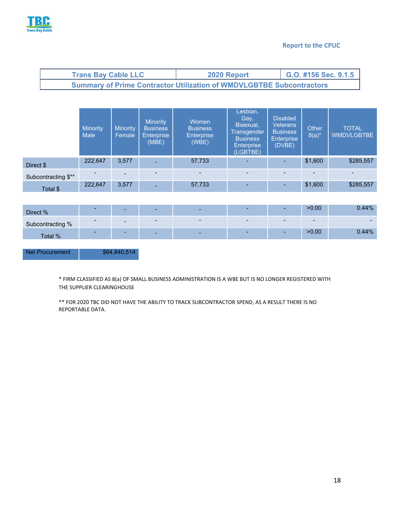

#### **Report to the CPUC**

| <b>Trans Bay Cable LLC</b>                                                  | 2020 Report | $\big $ G.O. #156 Sec. 9.1.5 |
|-----------------------------------------------------------------------------|-------------|------------------------------|
| <b>Summary of Prime Contractor Utilization of WMDVLGBTBE Subcontractors</b> |             |                              |

|                     | Minority<br><b>Male</b> | <b>Minority</b><br>Female | <b>Minority</b><br><b>Business</b><br><b>Enterprise</b><br>(MBE) | Women<br><b>Business</b><br><b>Enterprise</b><br>(WBE) | Lesbian,<br>Gay,<br>Bisexual,<br><b>Transgender</b><br><b>Business</b><br><b>Enterprise</b><br>(LGBTBE) | <b>Disabled</b><br><b>Veterans</b><br><b>Business</b><br><b>Enterprise</b><br>(DVBE) | Other<br>$8(a)^*$ | <b>TOTAL</b><br><b>WMDVLGBTBE</b> |
|---------------------|-------------------------|---------------------------|------------------------------------------------------------------|--------------------------------------------------------|---------------------------------------------------------------------------------------------------------|--------------------------------------------------------------------------------------|-------------------|-----------------------------------|
| Direct \$           | 222,647                 | 3,577                     |                                                                  | 57,733                                                 | $\overline{\phantom{a}}$                                                                                |                                                                                      | \$1,600           | \$285,557                         |
| Subcontracting \$** |                         |                           |                                                                  | $\blacksquare$                                         | $\overline{\phantom{0}}$                                                                                |                                                                                      | ۰                 |                                   |
| Total \$            | 222.647                 | 3,577                     | $\overline{\phantom{0}}$                                         | 57,733                                                 | $\overline{\phantom{a}}$                                                                                | $\overline{\phantom{a}}$                                                             | \$1,600           | \$285,557                         |

| Direct %         | -                        | $\overline{\phantom{0}}$ | $\overline{\phantom{0}}$ | $\overline{\phantom{0}}$ | $\overline{\phantom{a}}$ |        | >0.00  | 0.44%    |
|------------------|--------------------------|--------------------------|--------------------------|--------------------------|--------------------------|--------|--------|----------|
| Subcontracting % | $\overline{\phantom{a}}$ | $\overline{\phantom{0}}$ | $\qquad \qquad$          |                          |                          |        | $\sim$ |          |
| Total %          | -                        |                          | $\overline{\phantom{0}}$ | $\overline{\phantom{0}}$ | $\sim$                   | $\sim$ | >0.00  | $0.44\%$ |

Net Procurement \$64,840,514

\* FIRM CLASSIFIED AS 8(a) OF SMALL BUSINESS ADMINISTRATION IS A WBE BUT IS NO LONGER REGISTERED WITH THE SUPPLIER CLEARINGHOUSE

\*\* FOR 2020 TBC DID NOT HAVE THE ABILITY TO TRACK SUBCONTRACTOR SPEND, AS A RESULT THERE IS NO REPORTABLE DATA.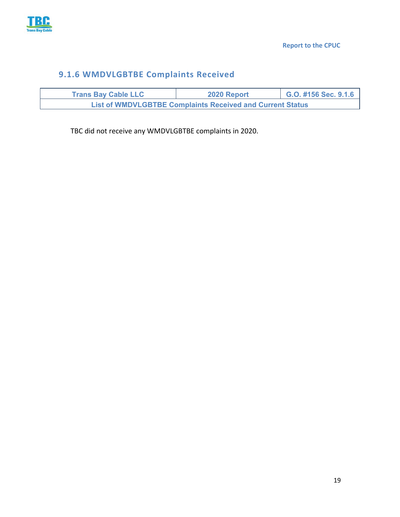

### **9.1.6 WMDVLGBTBE Complaints Received**

| <b>Trans Bay Cable LLC</b>                                       | 2020 Report | G.O. #156 Sec. 9.1.6 |
|------------------------------------------------------------------|-------------|----------------------|
| <b>List of WMDVLGBTBE Complaints Received and Current Status</b> |             |                      |

TBC did not receive any WMDVLGBTBE complaints in 2020.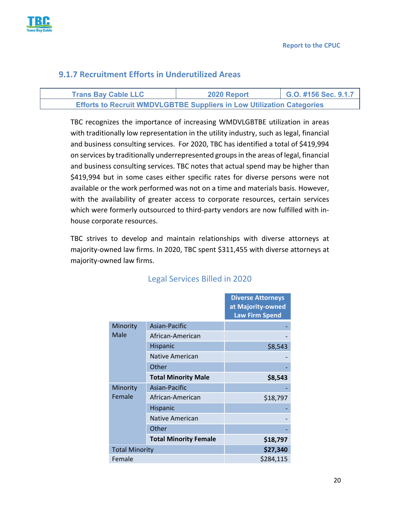

#### **9.1.7 Recruitment Efforts in Underutilized Areas**

| <b>Trans Bay Cable LLC</b>                                                   | 2020 Report | G.O. #156 Sec. 9.1.7 |
|------------------------------------------------------------------------------|-------------|----------------------|
| <b>Efforts to Recruit WMDVLGBTBE Suppliers in Low Utilization Categories</b> |             |                      |

TBC recognizes the importance of increasing WMDVLGBTBE utilization in areas with traditionally low representation in the utility industry, such as legal, financial and business consulting services. For 2020, TBC has identified a total of \$419,994 on services by traditionally underrepresented groups in the areas of legal, financial and business consulting services. TBC notes that actual spend may be higher than \$419,994 but in some cases either specific rates for diverse persons were not available or the work performed was not on a time and materials basis. However, with the availability of greater access to corporate resources, certain services which were formerly outsourced to third-party vendors are now fulfilled with inhouse corporate resources.

TBC strives to develop and maintain relationships with diverse attorneys at majority-owned law firms. In 2020, TBC spent \$311,455 with diverse attorneys at majority‐owned law firms.

|                       |                              | <b>Diverse Attorneys</b><br>at Majority-owned<br><b>Law Firm Spend</b> |
|-----------------------|------------------------------|------------------------------------------------------------------------|
| Minority              | Asian-Pacific                |                                                                        |
| Male                  | African-American             |                                                                        |
|                       | Hispanic                     | \$8,543                                                                |
|                       | <b>Native American</b>       |                                                                        |
|                       | Other                        |                                                                        |
|                       | <b>Total Minority Male</b>   | \$8,543                                                                |
| Minority              | Asian-Pacific                |                                                                        |
| Female                | African-American             | \$18,797                                                               |
|                       | Hispanic                     |                                                                        |
|                       | Native American              |                                                                        |
|                       | Other                        |                                                                        |
|                       | <b>Total Minority Female</b> | \$18,797                                                               |
| <b>Total Minority</b> |                              | \$27,340                                                               |
| Female                |                              | \$284,115                                                              |

#### Legal Services Billed in 2020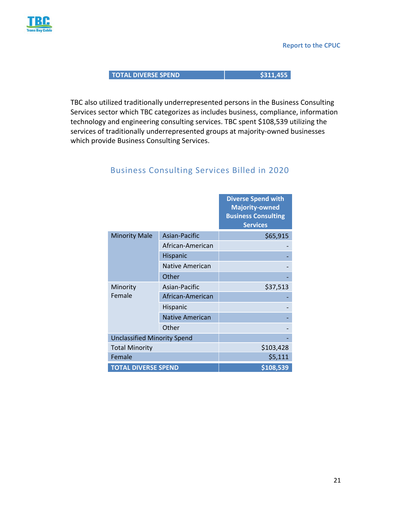

**TOTAL DIVERSE SPEND 1999 120 120 1311,455** 

TBC also utilized traditionally underrepresented persons in the Business Consulting Services sector which TBC categorizes as includes business, compliance, information technology and engineering consulting services. TBC spent \$108,539 utilizing the services of traditionally underrepresented groups at majority-owned businesses which provide Business Consulting Services.

|                                    |                        | <b>Diverse Spend with</b><br><b>Majority-owned</b><br><b>Business Consulting</b><br><b>Services</b> |
|------------------------------------|------------------------|-----------------------------------------------------------------------------------------------------|
| <b>Minority Male</b>               | Asian-Pacific          | \$65,915                                                                                            |
|                                    | African-American       |                                                                                                     |
|                                    | Hispanic               |                                                                                                     |
|                                    | Native American        |                                                                                                     |
|                                    | Other                  |                                                                                                     |
| Minority                           | Asian-Pacific          | \$37,513                                                                                            |
| Female                             | African-American       |                                                                                                     |
|                                    | Hispanic               |                                                                                                     |
|                                    | <b>Native American</b> |                                                                                                     |
|                                    | Other                  |                                                                                                     |
| <b>Unclassified Minority Spend</b> |                        |                                                                                                     |
| <b>Total Minority</b>              |                        | \$103,428                                                                                           |
| Female                             |                        | \$5,111                                                                                             |
| <b>TOTAL DIVERSE SPEND</b>         |                        | \$108,539                                                                                           |

#### Business Consulting Services Billed in 2020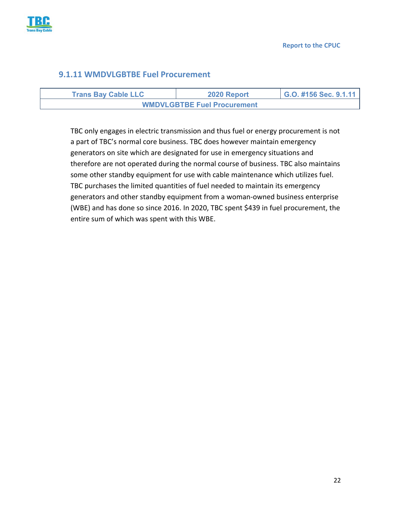

#### **9.1.11 WMDVLGBTBE Fuel Procurement**

| <b>Trans Bay Cable LLC</b>         | 2020 Report | G.O. #156 Sec. 9.1.11 |
|------------------------------------|-------------|-----------------------|
| <b>WMDVLGBTBE Fuel Procurement</b> |             |                       |

TBC only engages in electric transmission and thus fuel or energy procurement is not a part of TBC's normal core business. TBC does however maintain emergency generators on site which are designated for use in emergency situations and therefore are not operated during the normal course of business. TBC also maintains some other standby equipment for use with cable maintenance which utilizes fuel. TBC purchases the limited quantities of fuel needed to maintain its emergency generators and other standby equipment from a woman‐owned business enterprise (WBE) and has done so since 2016. In 2020, TBC spent \$439 in fuel procurement, the entire sum of which was spent with this WBE.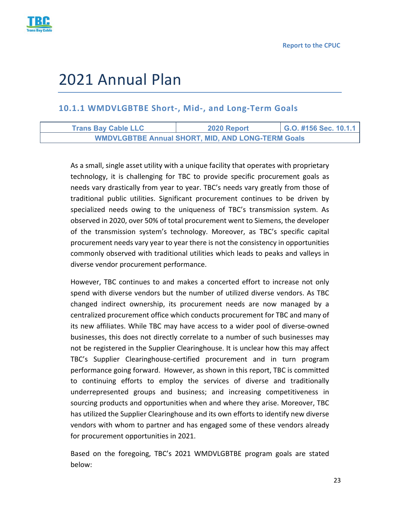

# 2021 Annual Plan

#### **10.1.1 WMDVLGBTBE Short‐, Mid‐, and Long‐Term Goals**

| <b>Trans Bay Cable LLC</b> | 2020 Report                                              | G.O. #156 Sec. 10.1.1 |
|----------------------------|----------------------------------------------------------|-----------------------|
|                            | <b>WMDVLGBTBE Annual SHORT, MID, AND LONG-TERM Goals</b> |                       |

As a small, single asset utility with a unique facility that operates with proprietary technology, it is challenging for TBC to provide specific procurement goals as needs vary drastically from year to year. TBC's needs vary greatly from those of traditional public utilities. Significant procurement continues to be driven by specialized needs owing to the uniqueness of TBC's transmission system. As observed in 2020, over 50% of total procurement went to Siemens, the developer of the transmission system's technology. Moreover, as TBC's specific capital procurement needs vary year to year there is not the consistency in opportunities commonly observed with traditional utilities which leads to peaks and valleys in diverse vendor procurement performance.

However, TBC continues to and makes a concerted effort to increase not only spend with diverse vendors but the number of utilized diverse vendors. As TBC changed indirect ownership, its procurement needs are now managed by a centralized procurement office which conducts procurement for TBC and many of its new affiliates. While TBC may have access to a wider pool of diverse‐owned businesses, this does not directly correlate to a number of such businesses may not be registered in the Supplier Clearinghouse. It is unclear how this may affect TBC's Supplier Clearinghouse‐certified procurement and in turn program performance going forward. However, as shown in this report, TBC is committed to continuing efforts to employ the services of diverse and traditionally underrepresented groups and business; and increasing competitiveness in sourcing products and opportunities when and where they arise. Moreover, TBC has utilized the Supplier Clearinghouse and its own efforts to identify new diverse vendors with whom to partner and has engaged some of these vendors already for procurement opportunities in 2021.

Based on the foregoing, TBC's 2021 WMDVLGBTBE program goals are stated below: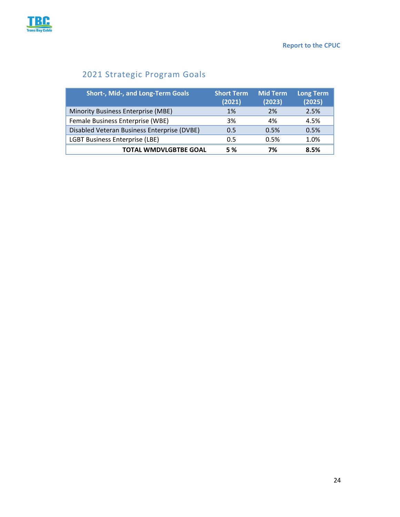

### 2021 Strategic Program Goals

| <b>Short-, Mid-, and Long-Term Goals</b>    | <b>Short Term</b><br>(2021) | <b>Mid Term</b><br>(2023) | <b>Long Term</b><br>(2025) |
|---------------------------------------------|-----------------------------|---------------------------|----------------------------|
| Minority Business Enterprise (MBE)          | 1%                          | 2%                        | 2.5%                       |
| Female Business Enterprise (WBE)            | 3%                          | 4%                        | 4.5%                       |
| Disabled Veteran Business Enterprise (DVBE) | 0.5                         | 0.5%                      | 0.5%                       |
| <b>LGBT Business Enterprise (LBE)</b>       | 0.5                         | 0.5%                      | 1.0%                       |
| <b>TOTAL WMDVLGBTBE GOAL</b>                | 5 %                         | 7%                        | 8.5%                       |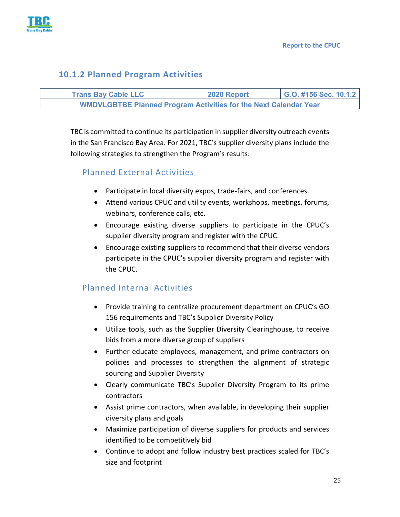

#### **10.1.2 Planned Program Activities**

| <b>Trans Bay Cable LLC</b>                                              | 2020 Report | G.O. #156 Sec. 10.1.2 |
|-------------------------------------------------------------------------|-------------|-----------------------|
| <b>WMDVLGBTBE Planned Program Activities for the Next Calendar Year</b> |             |                       |

TBC is committed to continue its participation in supplier diversity outreach events in the San Francisco Bay Area. For 2021, TBC's supplier diversity plans include the following strategies to strengthen the Program's results:

#### Planned External Activities

- Participate in local diversity expos, trade-fairs, and conferences.
- Attend various CPUC and utility events, workshops, meetings, forums, webinars, conference calls, etc.
- Encourage existing diverse suppliers to participate in the CPUC's supplier diversity program and register with the CPUC.
- Encourage existing suppliers to recommend that their diverse vendors participate in the CPUC's supplier diversity program and register with the CPUC.

#### Planned Internal Activities

- Provide training to centralize procurement department on CPUC's GO 156 requirements and TBC's Supplier Diversity Policy
- Utilize tools, such as the Supplier Diversity Clearinghouse, to receive bids from a more diverse group of suppliers
- Further educate employees, management, and prime contractors on policies and processes to strengthen the alignment of strategic sourcing and Supplier Diversity
- Clearly communicate TBC's Supplier Diversity Program to its prime contractors
- Assist prime contractors, when available, in developing their supplier diversity plans and goals
- Maximize participation of diverse suppliers for products and services identified to be competitively bid
- Continue to adopt and follow industry best practices scaled for TBC's size and footprint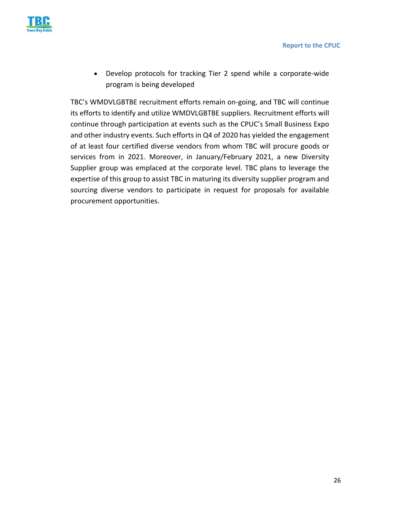

● Develop protocols for tracking Tier 2 spend while a corporate-wide program is being developed

TBC's WMDVLGBTBE recruitment efforts remain on‐going, and TBC will continue its efforts to identify and utilize WMDVLGBTBE suppliers. Recruitment efforts will continue through participation at events such as the CPUC's Small Business Expo and other industry events. Such efforts in Q4 of 2020 has yielded the engagement of at least four certified diverse vendors from whom TBC will procure goods or services from in 2021. Moreover, in January/February 2021, a new Diversity Supplier group was emplaced at the corporate level. TBC plans to leverage the expertise of this group to assist TBC in maturing its diversity supplier program and sourcing diverse vendors to participate in request for proposals for available procurement opportunities.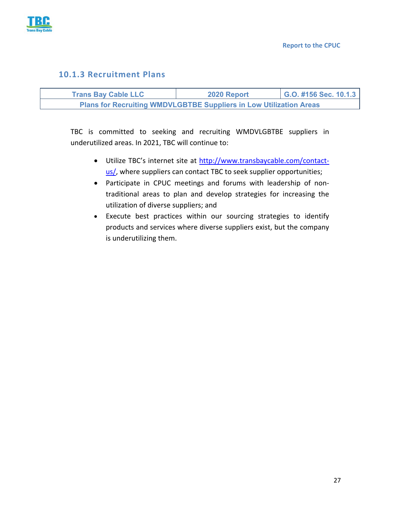

#### **10.1.3 Recruitment Plans**

| <b>Trans Bay Cable LLC</b>                                                | 2020 Report | G.O. #156 Sec. 10.1.3 |
|---------------------------------------------------------------------------|-------------|-----------------------|
| <b>Plans for Recruiting WMDVLGBTBE Suppliers in Low Utilization Areas</b> |             |                       |

TBC is committed to seeking and recruiting WMDVLGBTBE suppliers in underutilized areas. In 2021, TBC will continue to:

- Utilize TBC's internet site at http://www.transbaycable.com/contactus/, where suppliers can contact TBC to seek supplier opportunities;
- Participate in CPUC meetings and forums with leadership of nontraditional areas to plan and develop strategies for increasing the utilization of diverse suppliers; and
- Execute best practices within our sourcing strategies to identify products and services where diverse suppliers exist, but the company is underutilizing them.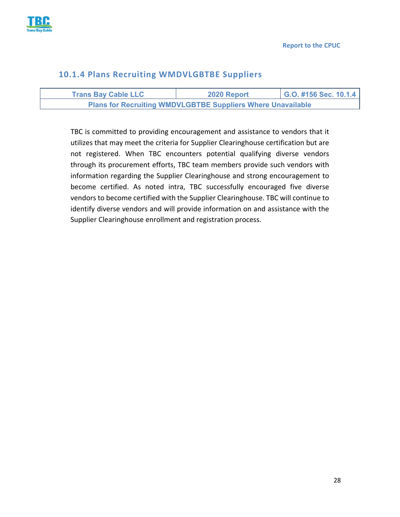

#### **10.1.4 Plans Recruiting WMDVLGBTBE Suppliers**

| <b>Trans Bay Cable LLC</b>                                         | 2020 Report | G.O. #156 Sec. 10.1.4 |
|--------------------------------------------------------------------|-------------|-----------------------|
| <b>Plans for Recruiting WMDVLGBTBE Suppliers Where Unavailable</b> |             |                       |

TBC is committed to providing encouragement and assistance to vendors that it utilizes that may meet the criteria for Supplier Clearinghouse certification but are not registered. When TBC encounters potential qualifying diverse vendors through its procurement efforts, TBC team members provide such vendors with information regarding the Supplier Clearinghouse and strong encouragement to become certified. As noted intra, TBC successfully encouraged five diverse vendors to become certified with the Supplier Clearinghouse. TBC will continue to identify diverse vendors and will provide information on and assistance with the Supplier Clearinghouse enrollment and registration process.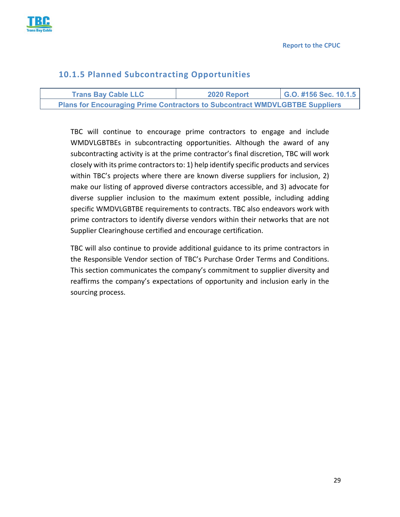

#### **10.1.5 Planned Subcontracting Opportunities**

| <b>Trans Bay Cable LLC</b>                                                         | 2020 Report | G.O. #156 Sec. 10.1.5 |
|------------------------------------------------------------------------------------|-------------|-----------------------|
| <b>Plans for Encouraging Prime Contractors to Subcontract WMDVLGBTBE Suppliers</b> |             |                       |

TBC will continue to encourage prime contractors to engage and include WMDVLGBTBEs in subcontracting opportunities. Although the award of any subcontracting activity is at the prime contractor's final discretion, TBC will work closely with its prime contractors to: 1) help identify specific products and services within TBC's projects where there are known diverse suppliers for inclusion, 2) make our listing of approved diverse contractors accessible, and 3) advocate for diverse supplier inclusion to the maximum extent possible, including adding specific WMDVLGBTBE requirements to contracts. TBC also endeavors work with prime contractors to identify diverse vendors within their networks that are not Supplier Clearinghouse certified and encourage certification.

TBC will also continue to provide additional guidance to its prime contractors in the Responsible Vendor section of TBC's Purchase Order Terms and Conditions. This section communicates the company's commitment to supplier diversity and reaffirms the company's expectations of opportunity and inclusion early in the sourcing process.